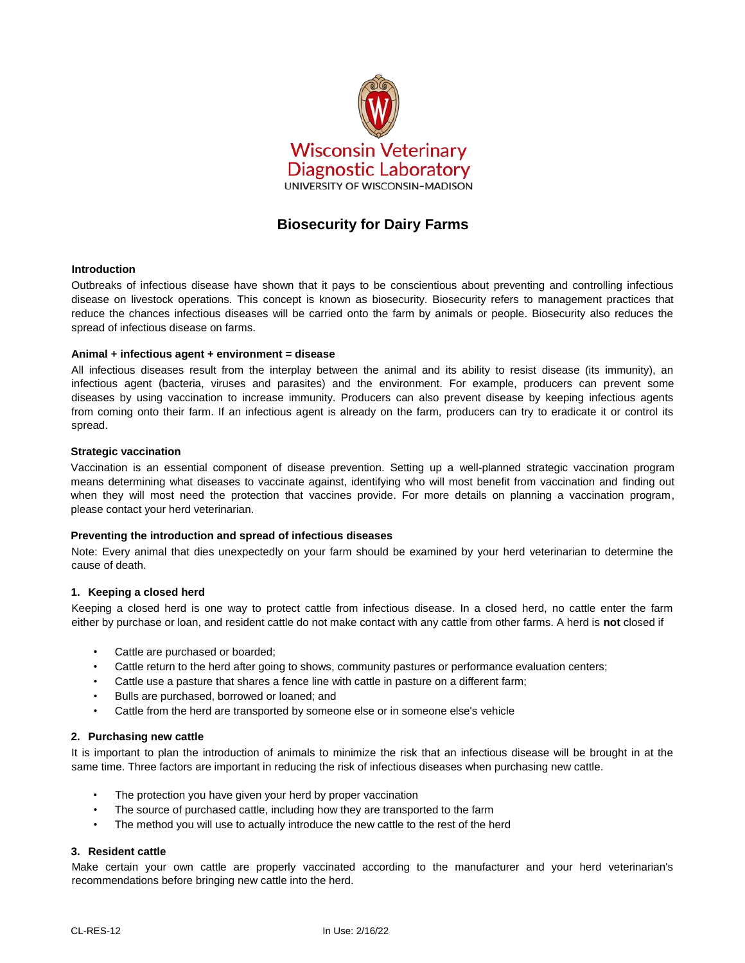

# **Biosecurity for Dairy Farms**

#### **Introduction**

Outbreaks of infectious disease have shown that it pays to be conscientious about preventing and controlling infectious disease on livestock operations. This concept is known as biosecurity. Biosecurity refers to management practices that reduce the chances infectious diseases will be carried onto the farm by animals or people. Biosecurity also reduces the spread of infectious disease on farms.

#### **Animal + infectious agent + environment = disease**

All infectious diseases result from the interplay between the animal and its ability to resist disease (its immunity), an infectious agent (bacteria, viruses and parasites) and the environment. For example, producers can prevent some diseases by using vaccination to increase immunity. Producers can also prevent disease by keeping infectious agents from coming onto their farm. If an infectious agent is already on the farm, producers can try to eradicate it or control its spread.

#### **Strategic vaccination**

Vaccination is an essential component of disease prevention. Setting up a well-planned strategic vaccination program means determining what diseases to vaccinate against, identifying who will most benefit from vaccination and finding out when they will most need the protection that vaccines provide. For more details on planning a vaccination program, please contact your herd veterinarian.

#### **Preventing the introduction and spread of infectious diseases**

Note: Every animal that dies unexpectedly on your farm should be examined by your herd veterinarian to determine the cause of death.

#### **1. Keeping a closed herd**

Keeping a closed herd is one way to protect cattle from infectious disease. In a closed herd, no cattle enter the farm either by purchase or loan, and resident cattle do not make contact with any cattle from other farms. A herd is **not** closed if

- Cattle are purchased or boarded;
- Cattle return to the herd after going to shows, community pastures or performance evaluation centers;
- Cattle use a pasture that shares a fence line with cattle in pasture on a different farm;
- Bulls are purchased, borrowed or loaned; and
- Cattle from the herd are transported by someone else or in someone else's vehicle

#### **2. Purchasing new cattle**

It is important to plan the introduction of animals to minimize the risk that an infectious disease will be brought in at the same time. Three factors are important in reducing the risk of infectious diseases when purchasing new cattle.

- The protection you have given your herd by proper vaccination
- The source of purchased cattle, including how they are transported to the farm
- The method you will use to actually introduce the new cattle to the rest of the herd

#### **3. Resident cattle**

Make certain your own cattle are properly vaccinated according to the manufacturer and your herd veterinarian's recommendations before bringing new cattle into the herd.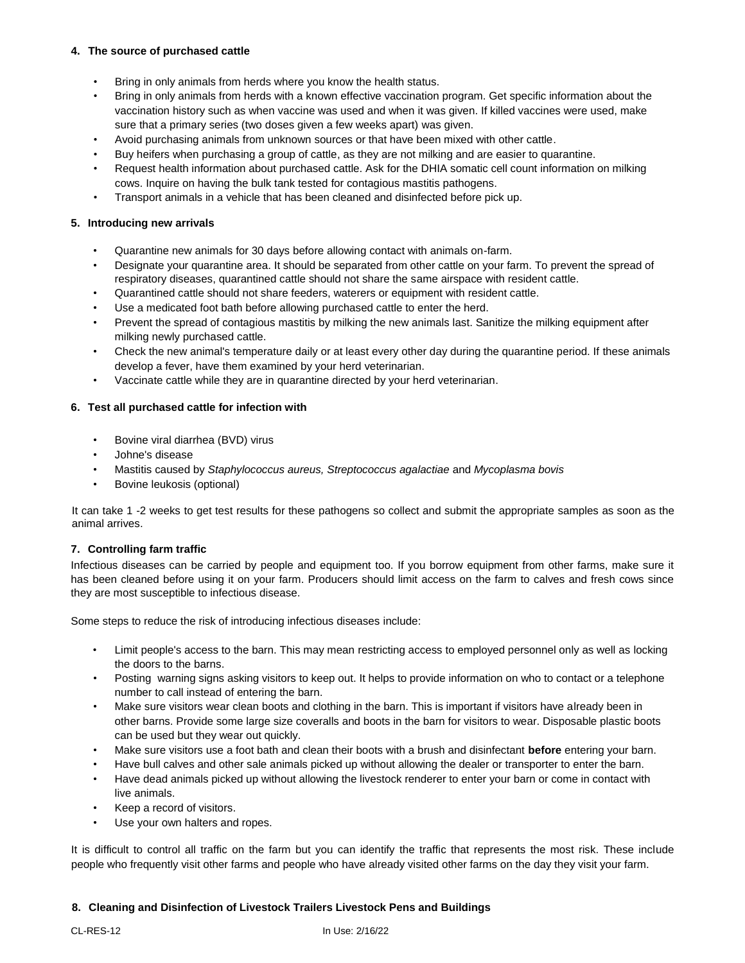## **4. The source of purchased cattle**

- Bring in only animals from herds where you know the health status.
- Bring in only animals from herds with a known effective vaccination program. Get specific information about the vaccination history such as when vaccine was used and when it was given. If killed vaccines were used, make sure that a primary series (two doses given a few weeks apart) was given.
- Avoid purchasing animals from unknown sources or that have been mixed with other cattle.
- Buy heifers when purchasing a group of cattle, as they are not milking and are easier to quarantine.
- Request health information about purchased cattle. Ask for the DHIA somatic cell count information on milking cows. Inquire on having the bulk tank tested for contagious mastitis pathogens.
- Transport animals in a vehicle that has been cleaned and disinfected before pick up.

## **5. Introducing new arrivals**

- Quarantine new animals for 30 days before allowing contact with animals on-farm.
- Designate your quarantine area. It should be separated from other cattle on your farm. To prevent the spread of respiratory diseases, quarantined cattle should not share the same airspace with resident cattle.
- Quarantined cattle should not share feeders, waterers or equipment with resident cattle.
- Use a medicated foot bath before allowing purchased cattle to enter the herd.
- Prevent the spread of contagious mastitis by milking the new animals last. Sanitize the milking equipment after milking newly purchased cattle.
- Check the new animal's temperature daily or at least every other day during the quarantine period. If these animals develop a fever, have them examined by your herd veterinarian.
- Vaccinate cattle while they are in quarantine directed by your herd veterinarian.

## **6. Test all purchased cattle for infection with**

- Bovine viral diarrhea (BVD) virus
- Johne's disease
- Mastitis caused by *Staphylococcus aureus, Streptococcus agalactiae* and *Mycoplasma bovis*
- Bovine leukosis (optional)

It can take 1 -2 weeks to get test results for these pathogens so collect and submit the appropriate samples as soon as the animal arrives.

#### **7. Controlling farm traffic**

Infectious diseases can be carried by people and equipment too. If you borrow equipment from other farms, make sure it has been cleaned before using it on your farm. Producers should limit access on the farm to calves and fresh cows since they are most susceptible to infectious disease.

Some steps to reduce the risk of introducing infectious diseases include:

- Limit people's access to the barn. This may mean restricting access to employed personnel only as well as locking the doors to the barns.
- Posting warning signs asking visitors to keep out. It helps to provide information on who to contact or a telephone number to call instead of entering the barn.
- Make sure visitors wear clean boots and clothing in the barn. This is important if visitors have already been in other barns. Provide some large size coveralls and boots in the barn for visitors to wear. Disposable plastic boots can be used but they wear out quickly.
- Make sure visitors use a foot bath and clean their boots with a brush and disinfectant **before** entering your barn.
- Have bull calves and other sale animals picked up without allowing the dealer or transporter to enter the barn.
- Have dead animals picked up without allowing the livestock renderer to enter your barn or come in contact with live animals.
- Keep a record of visitors.
- Use your own halters and ropes.

It is difficult to control all traffic on the farm but you can identify the traffic that represents the most risk. These include people who frequently visit other farms and people who have already visited other farms on the day they visit your farm.

#### **8. Cleaning and Disinfection of Livestock Trailers Livestock Pens and Buildings**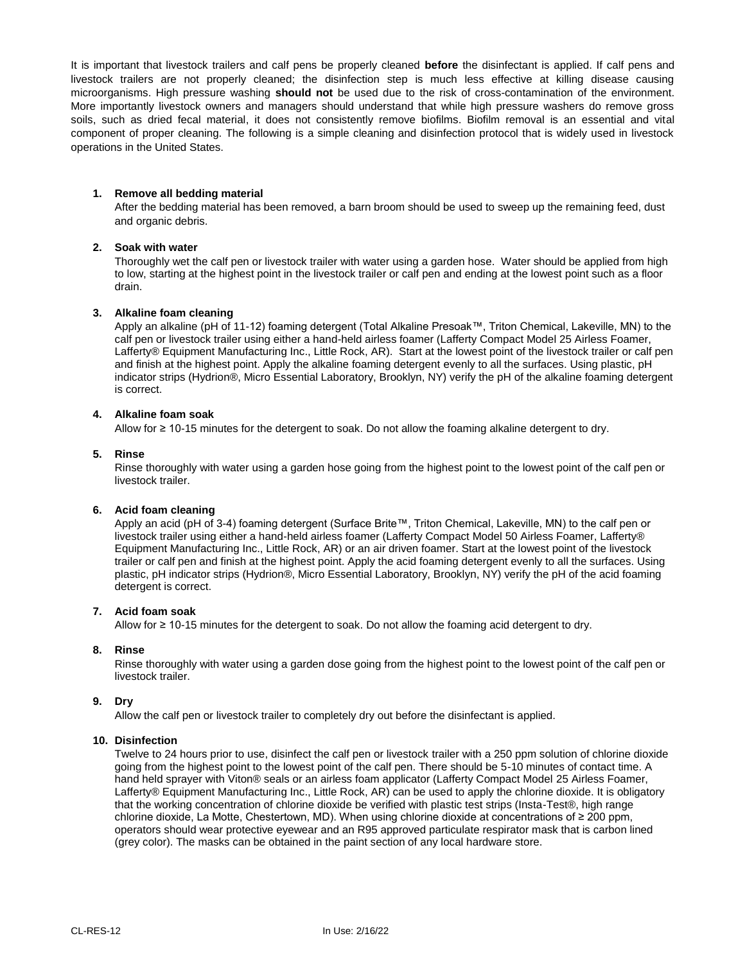It is important that livestock trailers and calf pens be properly cleaned **before** the disinfectant is applied. If calf pens and livestock trailers are not properly cleaned; the disinfection step is much less effective at killing disease causing microorganisms. High pressure washing **should not** be used due to the risk of cross-contamination of the environment. More importantly livestock owners and managers should understand that while high pressure washers do remove gross soils, such as dried fecal material, it does not consistently remove biofilms. Biofilm removal is an essential and vital component of proper cleaning. The following is a simple cleaning and disinfection protocol that is widely used in livestock operations in the United States.

## **1. Remove all bedding material**

After the bedding material has been removed, a barn broom should be used to sweep up the remaining feed, dust and organic debris.

#### **2. Soak with water**

Thoroughly wet the calf pen or livestock trailer with water using a garden hose. Water should be applied from high to low, starting at the highest point in the livestock trailer or calf pen and ending at the lowest point such as a floor drain.

#### **3. Alkaline foam cleaning**

Apply an alkaline (pH of 11-12) foaming detergent (Total Alkaline Presoak™, Triton Chemical, Lakeville, MN) to the calf pen or livestock trailer using either a hand-held airless foamer (Lafferty Compact Model 25 Airless Foamer, Lafferty® Equipment Manufacturing Inc., Little Rock, AR). Start at the lowest point of the livestock trailer or calf pen and finish at the highest point. Apply the alkaline foaming detergent evenly to all the surfaces. Using plastic, pH indicator strips (Hydrion®, Micro Essential Laboratory, Brooklyn, NY) verify the pH of the alkaline foaming detergent is correct.

#### **4. Alkaline foam soak**

Allow for ≥ 10-15 minutes for the detergent to soak. Do not allow the foaming alkaline detergent to dry.

#### **5. Rinse**

Rinse thoroughly with water using a garden hose going from the highest point to the lowest point of the calf pen or livestock trailer.

#### **6. Acid foam cleaning**

Apply an acid (pH of 3-4) foaming detergent (Surface Brite™, Triton Chemical, Lakeville, MN) to the calf pen or livestock trailer using either a hand-held airless foamer (Lafferty Compact Model 50 Airless Foamer, Lafferty® Equipment Manufacturing Inc., Little Rock, AR) or an air driven foamer. Start at the lowest point of the livestock trailer or calf pen and finish at the highest point. Apply the acid foaming detergent evenly to all the surfaces. Using plastic, pH indicator strips (Hydrion®, Micro Essential Laboratory, Brooklyn, NY) verify the pH of the acid foaming detergent is correct.

#### **7. Acid foam soak**

Allow for ≥ 10-15 minutes for the detergent to soak. Do not allow the foaming acid detergent to dry.

## **8. Rinse**

Rinse thoroughly with water using a garden dose going from the highest point to the lowest point of the calf pen or livestock trailer.

## **9. Dry**

Allow the calf pen or livestock trailer to completely dry out before the disinfectant is applied.

#### **10. Disinfection**

Twelve to 24 hours prior to use, disinfect the calf pen or livestock trailer with a 250 ppm solution of chlorine dioxide going from the highest point to the lowest point of the calf pen. There should be 5-10 minutes of contact time. A hand held sprayer with Viton® seals or an airless foam applicator (Lafferty Compact Model 25 Airless Foamer, Lafferty® Equipment Manufacturing Inc., Little Rock, AR) can be used to apply the chlorine dioxide. It is obligatory that the working concentration of chlorine dioxide be verified with plastic test strips (Insta-Test®, high range chlorine dioxide, La Motte, Chestertown, MD). When using chlorine dioxide at concentrations of ≥ 200 ppm, operators should wear protective eyewear and an R95 approved particulate respirator mask that is carbon lined (grey color). The masks can be obtained in the paint section of any local hardware store.